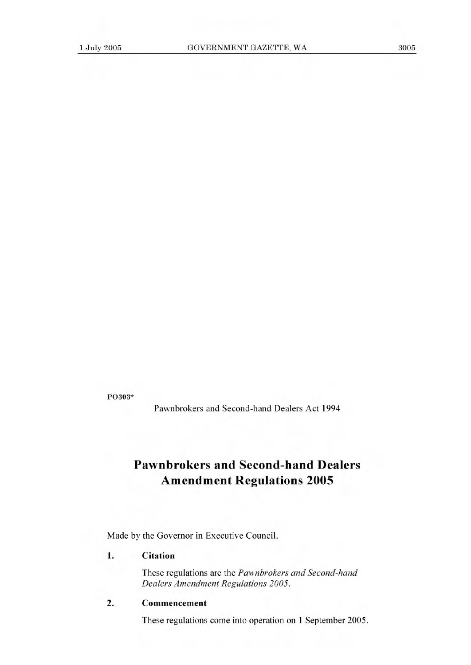**P0303\*** 

Pawnbrokers and Second-hand Dealers Act 1994

# **Pawnbrokers and Second-hand Dealers Amendment Regulations 2005**

Made by the Governor in Executive Council.

#### 1. Citation

These regulations are the *Pawnbrokers and Second-hand Dealers Amendment Regulations 2005.* 

## **2. Commencement**

These regulations come into operation on 1 September 2005.